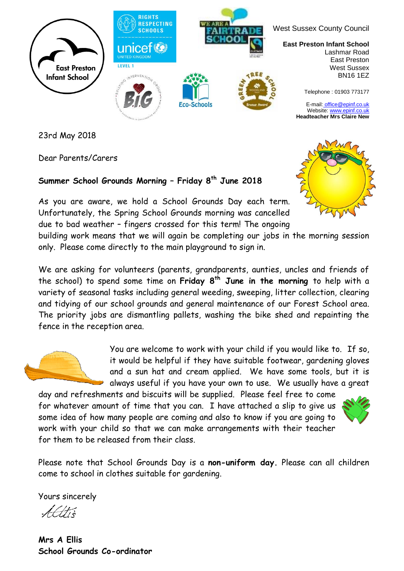

23rd May 2018

Dear Parents/Carers

## **Summer School Grounds Morning – Friday 8 th June 2018**

As you are aware, we hold a School Grounds Day each term. Unfortunately, the Spring School Grounds morning was cancelled due to bad weather – fingers crossed for this term! The ongoing

building work means that we will again be completing our jobs in the morning session only. Please come directly to the main playground to sign in.

We are asking for volunteers (parents, grandparents, aunties, uncles and friends of the school) to spend some time on **Friday 8 th June in the morning** to help with a variety of seasonal tasks including general weeding, sweeping, litter collection, clearing and tidying of our school grounds and general maintenance of our Forest School area. The priority jobs are dismantling pallets, washing the bike shed and repainting the fence in the reception area.

You are welcome to work with your child if you would like to. If so, it would be helpful if they have suitable footwear, gardening gloves and a sun hat and cream applied. We have some tools, but it is always useful if you have your own to use. We usually have a great

day and refreshments and biscuits will be supplied. Please feel free to come for whatever amount of time that you can. I have attached a slip to give us some idea of how many people are coming and also to know if you are going to work with your child so that we can make arrangements with their teacher for them to be released from their class.



Please note that School Grounds Day is a **non-uniform day.** Please can all children come to school in clothes suitable for gardening.

Yours sincerely

**Mrs A Ellis School Grounds Co-ordinator**